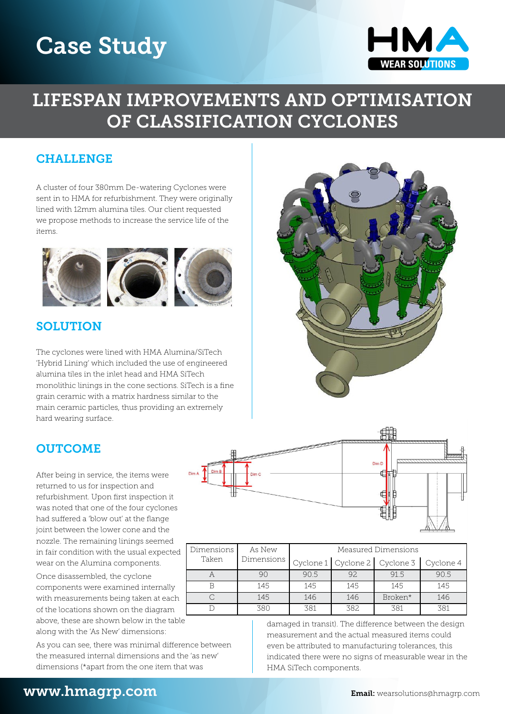## Case Study



### Lifespan Improvements and Optimisation of Classification Cyclones

#### CHALLENGE

A cluster of four 380mm De-watering Cyclones were sent in to HMA for refurbishment. They were originally lined with 12mm alumina tiles. Our client requested we propose methods to increase the service life of the items.



#### **SOLUTION**

The cyclones were lined with HMA Alumina/SiTech 'Hybrid Lining' which included the use of engineered alumina tiles in the inlet head and HMA SiTech monolithic linings in the cone sections. SiTech is a fine grain ceramic with a matrix hardness similar to the main ceramic particles, thus providing an extremely hard wearing surface.

#### **OUTCOME**

After being in service, the items were returned to us for inspection and refurbishment. Upon first inspection it was noted that one of the four cyclones had suffered a 'blow out' at the flange joint between the lower cone and the nozzle. The remaining linings seemed in fair condition with the usual expected wear on the Alumina components.

Once disassembled, the cyclone components were examined internally with measurements being taken at each of the locations shown on the diagram above, these are shown below in the table along with the 'As New' dimensions:

As you can see, there was minimal difference between the measured internal dimensions and the 'as new' dimensions (\*apart from the one item that was





| Dimensions<br>Taken | As New<br>Dimensions | Measured Dimensions |                                 |         |           |
|---------------------|----------------------|---------------------|---------------------------------|---------|-----------|
|                     |                      |                     | Cyclone 1 Cyclone 2   Cyclone 3 |         | Cyclone 4 |
|                     | 90                   | 90.5                | 92                              | 91.5    | 90.5      |
|                     | 145                  | 145                 | 145                             | 145     | 145       |
|                     | 145                  | 146                 | 146                             | Broken* | 146       |
|                     | 380                  | 381                 | 382                             | 381     | 381       |

damaged in transit). The difference between the design measurement and the actual measured items could even be attributed to manufacturing tolerances, this indicated there were no signs of measurable wear in the HMA SiTech components.